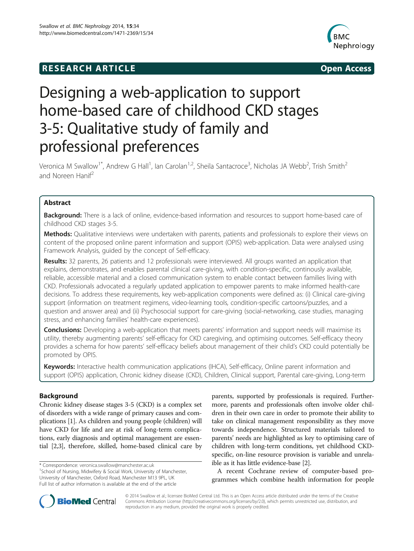# **RESEARCH ARTICLE Example 2014 12:30 The SEAR CHA RESEARCH ARTICLE**



# Designing a web-application to support home-based care of childhood CKD stages 3-5: Qualitative study of family and professional preferences

Veronica M Swallow<sup>1\*</sup>, Andrew G Hall<sup>1</sup>, Ian Carolan<sup>1,2</sup>, Sheila Santacroce<sup>3</sup>, Nicholas JA Webb<sup>2</sup>, Trish Smith<sup>2</sup> and Noreen Hanif<sup>2</sup>

# Abstract

Background: There is a lack of online, evidence-based information and resources to support home-based care of childhood CKD stages 3-5.

Methods: Qualitative interviews were undertaken with parents, patients and professionals to explore their views on content of the proposed online parent information and support (OPIS) web-application. Data were analysed using Framework Analysis, guided by the concept of Self-efficacy.

Results: 32 parents, 26 patients and 12 professionals were interviewed. All groups wanted an application that explains, demonstrates, and enables parental clinical care-giving, with condition-specific, continously available, reliable, accessible material and a closed communication system to enable contact between families living with CKD. Professionals advocated a regularly updated application to empower parents to make informed health-care decisions. To address these requirements, key web-application components were defined as: (i) Clinical care-giving support (information on treatment regimens, video-learning tools, condition-specific cartoons/puzzles, and a question and answer area) and (ii) Psychosocial support for care-giving (social-networking, case studies, managing stress, and enhancing families' health-care experiences).

**Conclusions:** Developing a web-application that meets parents' information and support needs will maximise its utility, thereby augmenting parents' self-efficacy for CKD caregiving, and optimising outcomes. Self-efficacy theory provides a schema for how parents' self-efficacy beliefs about management of their child's CKD could potentially be promoted by OPIS.

Keywords: Interactive health communication applications (IHCA), Self-efficacy, Online parent information and support (OPIS) application, Chronic kidney disease (CKD), Children, Clinical support, Parental care-giving, Long-term

# Background

Chronic kidney disease stages 3-5 (CKD) is a complex set of disorders with a wide range of primary causes and complications [[1](#page-10-0)]. As children and young people (children) will have CKD for life and are at risk of long-term complications, early diagnosis and optimal management are essential [[2,3](#page-10-0)], therefore, skilled, home-based clinical care by

\* Correspondence: [veronica.swallow@manchester.ac.uk](mailto:veronica.swallow@manchester.ac.uk) <sup>1</sup>

parents, supported by professionals is required. Furthermore, parents and professionals often involve older children in their own care in order to promote their ability to take on clinical management responsibility as they move towards independence. Structured materials tailored to parents' needs are highlighted as key to optimising care of children with long-term conditions, yet childhood CKDspecific, on-line resource provision is variable and unrelaible as it has little evidence-base [\[2\]](#page-10-0).

A recent Cochrane review of computer-based programmes which combine health information for people



© 2014 Swallow et al.; licensee BioMed Central Ltd. This is an Open Access article distributed under the terms of the Creative Commons Attribution License [\(http://creativecommons.org/licenses/by/2.0\)](http://creativecommons.org/licenses/by/2.0), which permits unrestricted use, distribution, and reproduction in any medium, provided the original work is properly credited.

<sup>&</sup>lt;sup>1</sup>School of Nursing, Midwifery & Social Work, University of Manchester, University of Manchester, Oxford Road, Manchester M13 9PL, UK Full list of author information is available at the end of the article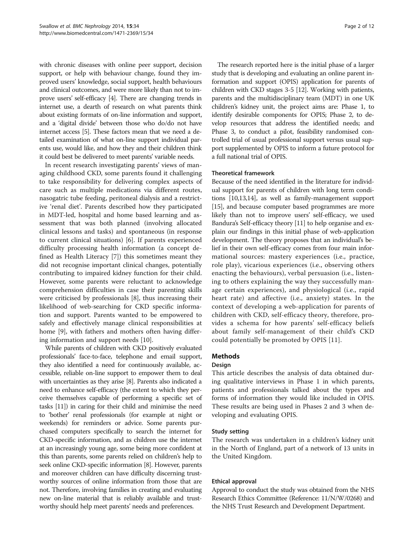with chronic diseases with online peer support, decision support, or help with behaviour change, found they improved users' knowledge, social support, health behaviours and clinical outcomes, and were more likely than not to improve users' self-efficacy [\[4\]](#page-11-0). There are changing trends in internet use, a dearth of research on what parents think about existing formats of on-line information and support, and a 'digital divide' between those who do/do not have internet access [\[5\]](#page-11-0). These factors mean that we need a detailed examination of what on-line support individual parents use, would like, and how they and their children think it could best be delivered to meet parents' variable needs.

In recent research investigating parents' views of managing childhood CKD, some parents found it challenging to take responsibility for delivering complex aspects of care such as multiple medications via different routes, nasogatric tube feeding, peritoneal dialysis and a restrictive 'renal diet'. Parents described how they participated in MDT-led, hospital and home based learning and assessment that was both planned (involving allocated clinical lessons and tasks) and spontaneous (in response to current clinical situations) [\[6](#page-11-0)]. If parents experienced difficulty processing health information (a concept defined as Health Literacy [\[7](#page-11-0)]) this sometimes meant they did not recognise important clinical changes, potentially contributing to impaired kidney function for their child. However, some parents were reluctant to acknowledge comprehension difficulties in case their parenting skills were criticised by professionals [[8\]](#page-11-0), thus increasing their likelihood of web-searching for CKD specific information and support. Parents wanted to be empowered to safely and effectively manage clinical responsibilities at home [[9\]](#page-11-0), with fathers and mothers often having differing information and support needs [\[10](#page-11-0)].

While parents of children with CKD positively evaluated professionals' face-to-face, telephone and email support, they also identified a need for continuously available, accessible, reliable on-line support to empower them to deal with uncertainties as they arise [\[8](#page-11-0)]. Parents also indicated a need to enhance self-efficacy (the extent to which they perceive themselves capable of performing a specific set of tasks [\[11\]](#page-11-0)) in caring for their child and minimise the need to 'bother' renal professionals (for example at night or weekends) for reminders or advice. Some parents purchased computers specifically to search the internet for CKD-specific information, and as children use the internet at an increasingly young age, some being more confident at this than parents, some parents relied on children's help to seek online CKD-specific information [\[8\]](#page-11-0). However, parents and moreover children can have difficulty discerning trustworthy sources of online information from those that are not. Therefore, involving families in creating and evaluating new on-line material that is reliably available and trustworthy should help meet parents' needs and preferences.

The research reported here is the initial phase of a larger study that is developing and evaluating an online parent information and support (OPIS) application for parents of children with CKD stages 3-5 [\[12](#page-11-0)]. Working with patients, parents and the multidisciplinary team (MDT) in one UK children's kidney unit, the project aims are: Phase 1, to identify desirable components for OPIS; Phase 2, to develop resources that address the identified needs; and Phase 3, to conduct a pilot, feasibility randomised controlled trial of usual professional support versus usual support supplemented by OPIS to inform a future protocol for a full national trial of OPIS.

# Theoretical framework

Because of the need identified in the literature for individual support for parents of children with long term conditions [\[10,13,14](#page-11-0)], as well as family-management support [[15](#page-11-0)], and because computer based programmes are more likely than not to improve users' self-efficacy, we used Bandura's Self-efficacy theory [[11](#page-11-0)] to help organise and explain our findings in this initial phase of web-application development. The theory proposes that an individual's belief in their own self-efficacy comes from four main informational sources: mastery experiences (i.e., practice, role play), vicarious experiences (i.e., observing others enacting the behaviours), verbal persuasion (i.e., listening to others explaining the way they successfully manage certain experiences), and physiological (i.e., rapid heart rate) and affective (i.e., anxiety) states. In the context of developing a web-application for parents of children with CKD, self-efficacy theory, therefore, provides a schema for how parents' self-efficacy beliefs about family self-management of their child's CKD could potentially be promoted by OPIS [[11](#page-11-0)].

# Methods

# Design

This article describes the analysis of data obtained during qualitative interviews in Phase 1 in which parents, patients and professionals talked about the types and forms of information they would like included in OPIS. These results are being used in Phases 2 and 3 when developing and evaluating OPIS.

# Study setting

The research was undertaken in a children's kidney unit in the North of England, part of a network of 13 units in the United Kingdom.

# Ethical approval

Approval to conduct the study was obtained from the NHS Research Ethics Committee (Reference: 11/N/W/0268) and the NHS Trust Research and Development Department.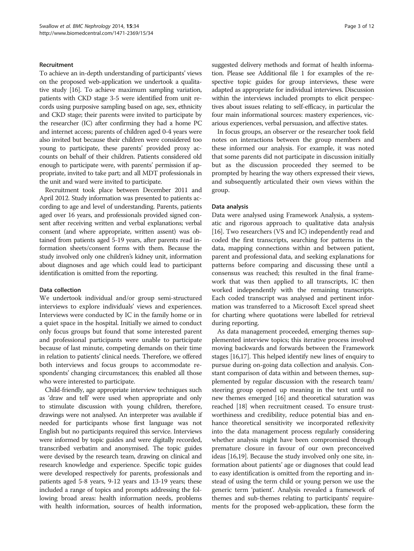### Recruitment

To achieve an in-depth understanding of participants' views on the proposed web-application we undertook a qualitative study [\[16](#page-11-0)]. To achieve maximum sampling variation, patients with CKD stage 3-5 were identified from unit records using purposive sampling based on age, sex, ethnicity and CKD stage; their parents were invited to participate by the researcher (IC) after confirming they had a home PC and internet access; parents of children aged 0-4 years were also invited but because their children were considered too young to participate, these parents' provided proxy accounts on behalf of their children. Patients considered old enough to participate were, with parents' permission if appropriate, invited to take part; and all MDT professionals in the unit and ward were invited to participate.

Recruitment took place between December 2011 and April 2012. Study information was presented to patients according to age and level of understanding. Parents, patients aged over 16 years, and professionals provided signed consent after receiving written and verbal explanations; verbal consent (and where appropriate, written assent) was obtained from patients aged 5-19 years, after parents read information sheets/consent forms with them. Because the study involved only one children's kidney unit, information about diagnoses and age which could lead to participant identification is omitted from the reporting.

### Data collection

We undertook individual and/or group semi-structured interviews to explore individuals' views and experiences. Interviews were conducted by IC in the family home or in a quiet space in the hospital. Initially we aimed to conduct only focus groups but found that some interested parent and professional participants were unable to participate because of last minute, competing demands on their time in relation to patients' clinical needs. Therefore, we offered both interviews and focus groups to accommodate respondents' changing circumstances; this enabled all those who were interested to participate.

Child-friendly, age appropriate interview techniques such as 'draw and tell' were used when appropriate and only to stimulate discussion with young children, therefore, drawings were not analysed. An interpreter was available if needed for participants whose first language was not English but no participants required this service. Interviews were informed by topic guides and were digitally recorded, transcribed verbatim and anonymised. The topic guides were devised by the research team, drawing on clinical and research knowledge and experience. Specific topic guides were developed respectively for parents, professionals and patients aged 5-8 years, 9-12 years and 13-19 years; these included a range of topics and prompts addressing the following broad areas: health information needs, problems with health information, sources of health information,

suggested delivery methods and format of health information. Please see Additional file [1](#page-10-0) for examples of the respective topic guides for group interviews, these were adapted as appropriate for individual interviews. Discussion within the interviews included prompts to elicit perspectives about issues relating to self-efficacy, in particular the four main informational sources: mastery experiences, vicarious experiences, verbal persuasion, and affective states.

In focus groups, an observer or the researcher took field notes on interactions between the group members and these informed our analysis. For example, it was noted that some parents did not participate in discussion initially but as the discussion proceeded they seemed to be prompted by hearing the way others expressed their views, and subsequently articulated their own views within the group.

### Data analysis

Data were analysed using Framework Analysis, a systematic and rigorous approach to qualitative data analysis [[16](#page-11-0)]. Two researchers (VS and IC) independently read and coded the first transcripts, searching for patterns in the data, mapping connections within and between patient, parent and professional data, and seeking explanations for patterns before comparing and discussing these until a consensus was reached; this resulted in the final framework that was then applied to all transcripts, IC then worked independently with the remaining transcripts. Each coded transcript was analysed and pertinent information was transferred to a Microsoft Excel spread sheet for charting where quotations were labelled for retrieval during reporting.

As data management proceeded, emerging themes supplemented interview topics; this iterative process involved moving backwards and forwards between the Framework stages [\[16,17\]](#page-11-0). This helped identify new lines of enquiry to pursue during on-going data collection and analysis. Constant comparison of data within and between themes, supplemented by regular discussion with the research team/ steering group opened up meaning in the text until no new themes emerged [[16](#page-11-0)] and theoretical saturation was reached [\[18\]](#page-11-0) when recruitment ceased. To ensure trustworthiness and credibility, reduce potential bias and enhance theoretical sensitivity we incorporated reflexivity into the data management process regularly considering whether analysis might have been compromised through premature closure in favour of our own preconceived ideas [[16,19](#page-11-0)]. Because the study involved only one site, information about patients' age or diagnoses that could lead to easy identification is omitted from the reporting and instead of using the term child or young person we use the generic term 'patient'. Analysis revealed a framework of themes and sub-themes relating to participants' requirements for the proposed web-application, these form the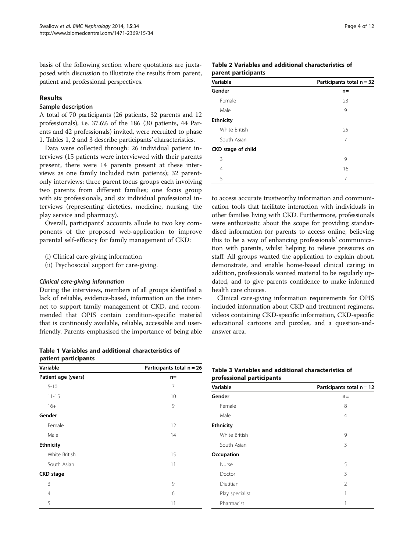basis of the following section where quotations are juxtaposed with discussion to illustrate the results from parent, patient and professional perspectives.

## Results

### Sample description

A total of 70 participants (26 patients, 32 parents and 12 professionals), i.e. 37.6% of the 186 (30 patients, 44 Parents and 42 professionals) invited, were recruited to phase 1. Tables 1, 2 and 3 describe participants' characteristics.

Data were collected through: 26 individual patient interviews (15 patients were interviewed with their parents present, there were 14 parents present at these interviews as one family included twin patients); 32 parentonly interviews; three parent focus groups each involving two parents from different families; one focus group with six professionals, and six individual professional interviews (representing dietetics, medicine, nursing, the play service and pharmacy).

Overall, participants' accounts allude to two key components of the proposed web-application to improve parental self-efficacy for family management of CKD:

- 
- $(i)$  Developed care-given by  $j$  $\mathcal{C}$  is positive. The case  $g \circ g$

During the interviews, members of all groups identified a lack of reliable, evidence-based, information on the internet to support family management of CKD, and recommended that OPIS contain condition-specific material that is continously available, reliable, accessible and userfriendly. Parents emphasised the importance of being able

Table 1 Variables and additional characteristics of patient participants

| Variable            | Participants total n = 26 |
|---------------------|---------------------------|
| Patient age (years) | $n=$                      |
| $5 - 10$            | 7                         |
| $11 - 15$           | 10                        |
| $16+$               | 9                         |
| Gender              |                           |
| Female              | 12                        |
| Male                | 14                        |
| <b>Ethnicity</b>    |                           |
| White British       | 15                        |
| South Asian         | 11                        |
| <b>CKD</b> stage    |                           |
| 3                   | 9                         |
| $\overline{4}$      | 6                         |
| 5                   | 11                        |

### Table 2 Variables and additional characteristics of parent participants

| Variable                  | Participants total $n = 32$ |
|---------------------------|-----------------------------|
| Gender                    | n=                          |
| Female                    | 23                          |
| Male                      | 9                           |
| <b>Ethnicity</b>          |                             |
| White British             | 25                          |
| South Asian               | 7                           |
| <b>CKD stage of child</b> |                             |
| 3                         | 9                           |
| $\overline{4}$            | 16                          |
| 5                         | 7                           |

to access accurate trustworthy information and communication tools that facilitate interaction with individuals in other families living with CKD. Furthermore, professionals were enthusiastic about the scope for providing standardised information for parents to access online, believing this to be a way of enhancing professionals' communication with parents, whilst helping to relieve pressures on staff. All groups wanted the application to explain about, demonstrate, and enable home-based clinical caring; in addition, professionals wanted material to be regularly updated, and to give parents confidence to make informed health care choices.

Clinical care-giving information requirements for OPIS included information about CKD and treatment regimens, videos containing CKD-specific information, CKD-specific educational cartoons and puzzles, and a question-andanswer area.

# Table 3 Variables and additional characteristics of professional participants

| Variable         | Participants total $n = 12$ |
|------------------|-----------------------------|
| Gender           | n=                          |
| Female           | 8                           |
| Male             | $\overline{4}$              |
| <b>Ethnicity</b> |                             |
| White British    | 9                           |
| South Asian      | 3                           |
| Occupation       |                             |
| Nurse            | 5                           |
| Doctor           | 3                           |
| Dietitian        | $\overline{2}$              |
| Play specialist  | 1                           |
| Pharmacist       | 1                           |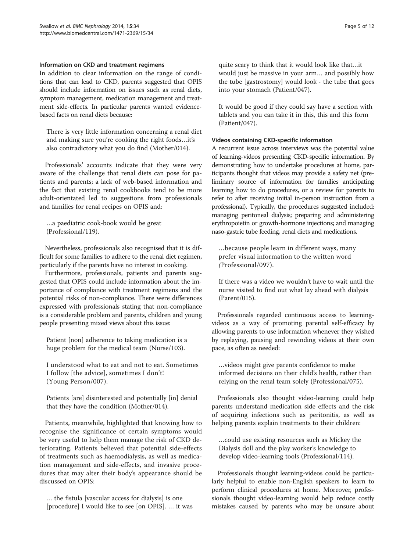### Information on CKD and treatment regimens

In addition to clear information on the range of conditions that can lead to CKD, parents suggested that OPIS should include information on issues such as renal diets, symptom management, medication management and treatment side-effects. In particular parents wanted evidencebased facts on renal diets because:

There is very little information concerning a renal diet and making sure you're cooking the right foods…it's also contradictory what you do find (Mother/014).

Professionals' accounts indicate that they were very aware of the challenge that renal diets can pose for patients and parents; a lack of web-based information and the fact that existing renal cookbooks tend to be more adult-orientated led to suggestions from professionals and families for renal recipes on OPIS and:

…a paediatric cook-book would be great (Professional/119).

Nevertheless, professionals also recognised that it is difficult for some families to adhere to the renal diet regimen, particularly if the parents have no interest in cooking.

Furthermore, professionals, patients and parents suggested that OPIS could include information about the importance of compliance with treatment regimens and the potential risks of non-compliance. There were differences expressed with professionals stating that non-compliance is a considerable problem and parents, children and young people presenting mixed views about this issue:

Patient [non] adherence to taking medication is a huge problem for the medical team (Nurse/103).

I understood what to eat and not to eat. Sometimes I follow [the advice], sometimes I don't! (Young Person/007).

Patients [are] disinterested and potentially [in] denial that they have the condition (Mother/014).

Patients, meanwhile, highlighted that knowing how to recognise the significance of certain symptoms would be very useful to help them manage the risk of CKD deteriorating. Patients believed that potential side-effects of treatments such as haemodialysis, as well as medication management and side-effects, and invasive procedures that may alter their body's appearance should be discussed on OPIS:

… the fistula [vascular access for dialysis] is one [procedure] I would like to see [on OPIS]. … it was quite scary to think that it would look like that…it would just be massive in your arm… and possibly how the tube [gastrostomy] would look - the tube that goes into your stomach (Patient/047).

It would be good if they could say have a section with tablets and you can take it in this, this and this form (Patient/047).

### Videos containing CKD-specific information

A recurrent issue across interviews was the potential value of learning-videos presenting CKD-specific information. By demonstrating how to undertake procedures at home, participants thought that videos may provide a safety net (preliminary source of information for families anticipating learning how to do procedures, or a review for parents to refer to after receiving initial in-person instruction from a professional). Typically, the procedures suggested included: managing peritoneal dialysis; preparing and administering erythropoietin or growth-hormone injections; and managing naso-gastric tube feeding, renal diets and medications.

…because people learn in different ways, many prefer visual information to the written word (Professional/097).

If there was a video we wouldn't have to wait until the nurse visited to find out what lay ahead with dialysis (Parent/015).

Professionals regarded continuous access to learningvideos as a way of promoting parental self-efficacy by allowing parents to use information whenever they wished by replaying, pausing and rewinding videos at their own pace, as often as needed:

…videos might give parents confidence to make informed decisions on their child's health, rather than relying on the renal team solely (Professional/075).

Professionals also thought video-learning could help parents understand medication side effects and the risk of acquiring infections such as peritonitis, as well as helping parents explain treatments to their children:

…could use existing resources such as Mickey the Dialysis doll and the play worker's knowledge to develop video-learning tools (Professional/114).

Professionals thought learning-videos could be particularly helpful to enable non-English speakers to learn to perform clinical procedures at home. Moreover, professionals thought video-learning would help reduce costly mistakes caused by parents who may be unsure about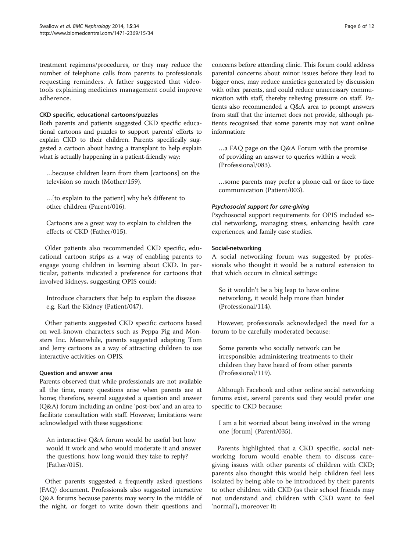treatment regimens/procedures, or they may reduce the number of telephone calls from parents to professionals requesting reminders. A father suggested that videotools explaining medicines management could improve adherence.

# CKD specific, educational cartoons/puzzles

Both parents and patients suggested CKD specific educational cartoons and puzzles to support parents' efforts to explain CKD to their children. Parents specifically suggested a cartoon about having a transplant to help explain what is actually happening in a patient-friendly way:

…because children learn from them [cartoons] on the television so much (Mother/159).

…[to explain to the patient] why he's different to other children (Parent/016).

Cartoons are a great way to explain to children the effects of CKD (Father/015).

Older patients also recommended CKD specific, educational cartoon strips as a way of enabling parents to engage young children in learning about CKD. In particular, patients indicated a preference for cartoons that involved kidneys, suggesting OPIS could:

Introduce characters that help to explain the disease e.g. Karl the Kidney (Patient/047).

Other patients suggested CKD specific cartoons based on well-known characters such as Peppa Pig and Monsters Inc. Meanwhile, parents suggested adapting Tom and Jerry cartoons as a way of attracting children to use interactive activities on OPIS.

### Question and answer area

Parents observed that while professionals are not available all the time, many questions arise when parents are at home; therefore, several suggested a question and answer (Q&A) forum including an online 'post-box' and an area to facilitate consultation with staff. However, limitations were acknowledged with these suggestions:

An interactive Q&A forum would be useful but how would it work and who would moderate it and answer the questions; how long would they take to reply? (Father/015).

Other parents suggested a frequently asked questions (FAQ) document. Professionals also suggested interactive Q&A forums because parents may worry in the middle of the night, or forget to write down their questions and

concerns before attending clinic. This forum could address parental concerns about minor issues before they lead to bigger ones, may reduce anxieties generated by discussion with other parents, and could reduce unnecessary communication with staff, thereby relieving pressure on staff. Patients also recommended a Q&A area to prompt answers from staff that the internet does not provide, although patients recognised that some parents may not want online information:

…a FAQ page on the Q&A Forum with the promise of providing an answer to queries within a week (Professional/083).

…some parents may prefer a phone call or face to face communication (Patient/003).

Psychosocial support requirements for OPIS included social networking, managing stress, enhancing health care experiences, and family case studies.

### Social-networking

A social networking forum was suggested by professionals who thought it would be a natural extension to that which occurs in clinical settings:

So it wouldn't be a big leap to have online networking, it would help more than hinder (Professional/114).

However, professionals acknowledged the need for a forum to be carefully moderated because:

Some parents who socially network can be irresponsible; administering treatments to their children they have heard of from other parents (Professional/119).

Although Facebook and other online social networking forums exist, several parents said they would prefer one specific to CKD because:

I am a bit worried about being involved in the wrong one [forum] (Parent/035).

Parents highlighted that a CKD specific, social networking forum would enable them to discuss caregiving issues with other parents of children with CKD; parents also thought this would help children feel less isolated by being able to be introduced by their parents to other children with CKD (as their school friends may not understand and children with CKD want to feel 'normal'), moreover it: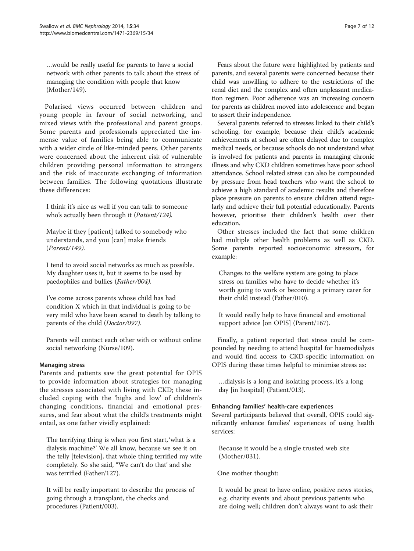…would be really useful for parents to have a social network with other parents to talk about the stress of managing the condition with people that know (Mother/149).

Polarised views occurred between children and young people in favour of social networking, and mixed views with the professional and parent groups. Some parents and professionals appreciated the immense value of families being able to communicate with a wider circle of like-minded peers. Other parents were concerned about the inherent risk of vulnerable children providing personal information to strangers and the risk of inaccurate exchanging of information between families. The following quotations illustrate these differences:

I think it's nice as well if you can talk to someone who's actually been through it (Patient/124).

Maybe if they [patient] talked to somebody who understands, and you [can] make friends (Parent/149).

I tend to avoid social networks as much as possible. My daughter uses it, but it seems to be used by paedophiles and bullies (Father/004).

I've come across parents whose child has had condition X which in that individual is going to be very mild who have been scared to death by talking to parents of the child (Doctor/097).

Parents will contact each other with or without online social networking (Nurse/109).

### Managing stress

Parents and patients saw the great potential for OPIS to provide information about strategies for managing the stresses associated with living with CKD; these included coping with the 'highs and low' of children's changing conditions, financial and emotional pressures, and fear about what the child's treatments might entail, as one father vividly explained:

The terrifying thing is when you first start, 'what is a dialysis machine?' We all know, because we see it on the telly [television], that whole thing terrified my wife completely. So she said, "We can't do that' and she was terrified (Father/127).

It will be really important to describe the process of going through a transplant, the checks and procedures (Patient/003).

Fears about the future were highlighted by patients and parents, and several parents were concerned because their child was unwilling to adhere to the restrictions of the renal diet and the complex and often unpleasant medication regimen. Poor adherence was an increasing concern for parents as children moved into adolescence and began to assert their independence.

Several parents referred to stresses linked to their child's schooling, for example, because their child's academic achievements at school are often delayed due to complex medical needs, or because schools do not understand what is involved for patients and parents in managing chronic illness and why CKD children sometimes have poor school attendance. School related stress can also be compounded by pressure from head teachers who want the school to achieve a high standard of academic results and therefore place pressure on parents to ensure children attend regularly and achieve their full potential educationally. Parents however, prioritise their children's health over their education.

Other stresses included the fact that some children had multiple other health problems as well as CKD. Some parents reported socioeconomic stressors, for example:

Changes to the welfare system are going to place stress on families who have to decide whether it's worth going to work or becoming a primary carer for their child instead (Father/010).

It would really help to have financial and emotional support advice [on OPIS] (Parent/167).

Finally, a patient reported that stress could be compounded by needing to attend hospital for haemodialysis and would find access to CKD-specific information on OPIS during these times helpful to minimise stress as:

…dialysis is a long and isolating process, it's a long day [in hospital] (Patient/013).

### Enhancing families' health-care experiences

Several participants believed that overall, OPIS could significantly enhance families' experiences of using health services:

Because it would be a single trusted web site (Mother/031).

One mother thought:

It would be great to have online, positive news stories, e.g. charity events and about previous patients who are doing well; children don't always want to ask their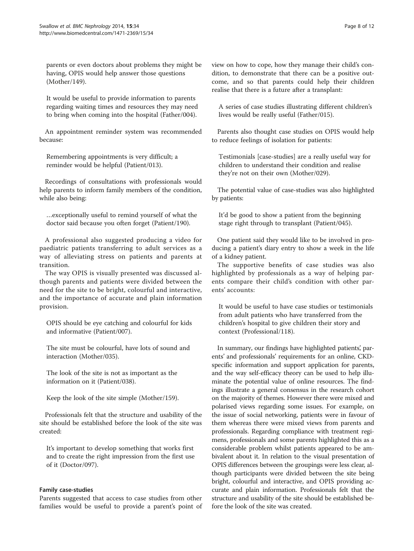parents or even doctors about problems they might be having, OPIS would help answer those questions (Mother/149).

It would be useful to provide information to parents regarding waiting times and resources they may need to bring when coming into the hospital (Father/004).

An appointment reminder system was recommended because:

Remembering appointments is very difficult; a reminder would be helpful (Patient/013).

Recordings of consultations with professionals would help parents to inform family members of the condition, while also being:

…exceptionally useful to remind yourself of what the doctor said because you often forget (Patient/190).

A professional also suggested producing a video for paediatric patients transferring to adult services as a way of alleviating stress on patients and parents at transition.

The way OPIS is visually presented was discussed although parents and patients were divided between the need for the site to be bright, colourful and interactive, and the importance of accurate and plain information provision.

OPIS should be eye catching and colourful for kids and informative (Patient/007).

The site must be colourful, have lots of sound and interaction (Mother/035).

The look of the site is not as important as the information on it (Patient/038).

Keep the look of the site simple (Mother/159).

Professionals felt that the structure and usability of the site should be established before the look of the site was created:

It's important to develop something that works first and to create the right impression from the first use of it (Doctor/097).

### Family case-studies

Parents suggested that access to case studies from other families would be useful to provide a parent's point of view on how to cope, how they manage their child's condition, to demonstrate that there can be a positive outcome, and so that parents could help their children realise that there is a future after a transplant:

A series of case studies illustrating different children's lives would be really useful (Father/015).

Parents also thought case studies on OPIS would help to reduce feelings of isolation for patients:

Testimonials [case-studies] are a really useful way for children to understand their condition and realise they're not on their own (Mother/029).

The potential value of case-studies was also highlighted by patients:

It'd be good to show a patient from the beginning stage right through to transplant (Patient/045).

One patient said they would like to be involved in producing a patient's diary entry to show a week in the life of a kidney patient.

The supportive benefits of case studies was also highlighted by professionals as a way of helping parents compare their child's condition with other parents' accounts:

It would be useful to have case studies or testimonials from adult patients who have transferred from the children's hospital to give children their story and context (Professional/118).

In summary, our findings have highlighted patients', parents' and professionals' requirements for an online, CKDspecific information and support application for parents, and the way self-efficacy theory can be used to help illuminate the potential value of online resources. The findings illustrate a general consensus in the research cohort on the majority of themes. However there were mixed and polarised views regarding some issues. For example, on the issue of social networking, patients were in favour of them whereas there were mixed views from parents and professionals. Regarding compliance with treatment regimens, professionals and some parents highlighted this as a considerable problem whilst patients appeared to be ambivalent about it. In relation to the visual presentation of OPIS differences between the groupings were less clear, although participants were divided between the site being bright, colourful and interactive, and OPIS providing accurate and plain information. Professionals felt that the structure and usability of the site should be established before the look of the site was created.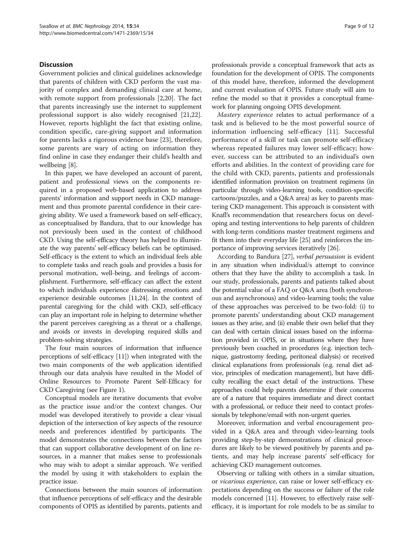### **Discussion**

Government policies and clinical guidelines acknowledge that parents of children with CKD perform the vast majority of complex and demanding clinical care at home, with remote support from professionals [[2,](#page-10-0)[20\]](#page-11-0). The fact that parents increasingly use the internet to supplement professional support is also widely recognised [\[21,22](#page-11-0)]. However, reports highlight the fact that existing online, condition specific, care-giving support and information for parents lacks a rigorous evidence base [\[23](#page-11-0)], therefore, some parents are wary of acting on information they find online in case they endanger their child's health and wellbeing [\[8](#page-11-0)].

In this paper, we have developed an account of parent, patient and professional views on the components required in a proposed web-based application to address parents' information and support needs in CKD management and thus promote parental confidence in their caregiving ability. We used a framework based on self-efficacy, as conceptualised by Bandura, that to our knowledge has not previously been used in the context of childhood CKD. Using the self-efficacy theory has helped to illuminate the way parents' self-efficacy beliefs can be optimised. Self-efficacy is the extent to which an individual feels able to complete tasks and reach goals and provides a basis for personal motivation, well-being, and feelings of accomplishment. Furthermore, self-efficacy can affect the extent to which individuals experience distressing emotions and experience desirable outcomes [\[11,24](#page-11-0)]. In the context of parental caregiving for the child with CKD, self-efficacy can play an important role in helping to determine whether the parent perceives caregiving as a threat or a challenge, and avoids or invests in developing required skills and problem-solving strategies.

The four main sources of information that influence perceptions of self-efficacy [[11](#page-11-0)]) when integrated with the two main components of the web application identified through our data analysis have resulted in the Model of Online Resources to Promote Parent Self-Efficacy for CKD Caregiving (see Figure [1](#page-9-0)).

Conceptual models are iterative documents that evolve as the practice issue and/or the context changes. Our model was developed iteratively to provide a clear visual depiction of the intersection of key aspects of the resource needs and preferences identified by participants. The model demonstrates the connections between the factors that can support collaborative development of on line resources, in a manner that makes sense to professionals who may wish to adopt a similar approach. We verified the model by using it with stakeholders to explain the practice issue.

Connections between the main sources of information that influence perceptions of self-efficacy and the desirable components of OPIS as identified by parents, patients and

professionals provide a conceptual framework that acts as foundation for the development of OPIS. The components of this model have, therefore, informed the development and current evaluation of OPIS. Future study will aim to refine the model so that it provides a conceptual framework for planning ongoing OPIS development.

Mastery experience relates to actual performance of a task and is believed to be the most powerful source of information influencing self-efficacy [\[11\]](#page-11-0). Successful performance of a skill or task can promote self-efficacy whereas repeated failures may lower self-efficacy; however, success can be attributed to an individual's own efforts and abilities. In the context of providing care for the child with CKD, parents, patients and professionals identified information provision on treatment regimens (in particular through video-learning tools, condition-specific cartoons/puzzles, and a Q&A area) as key to parents mastering CKD management. This approach is consistent with Knafl's recommendation that researchers focus on developing and testing interventions to help parents of children with long-term conditions master treatment regimens and fit them into their everyday life [\[25\]](#page-11-0) and reinforces the importance of improving services iteratively [[26](#page-11-0)].

According to Bandura [[27](#page-11-0)], verbal persuasion is evident in any situation when individual/s attempt to convince others that they have the ability to accomplish a task. In our study, professionals, parents and patients talked about the potential value of a FAQ or Q&A area (both synchronous and asynchronous) and video-learning tools; the value of these approaches was perceived to be two-fold: (i) to promote parents' understanding about CKD management issues as they arise, and (ii) enable their own belief that they can deal with certain clinical issues based on the information provided in OPIS, or in situations where they have previously been coached in procedures (e.g. injection technique, gastrostomy feeding, peritoneal dialysis) or received clinical explanations from professionals (e.g. renal diet advice, principles of medication management), but have difficulty recalling the exact detail of the instructions. These approaches could help parents determine if their concerns are of a nature that requires immediate and direct contact with a professional, or reduce their need to contact professionals by telephone/email with non-urgent queries.

Moreover, information and verbal encouragement provided in a Q&A area and through video-learning tools providing step-by-step demonstrations of clinical procedures are likely to be viewed positively by parents and patients, and may help increase parents' self-efficacy for achieving CKD management outcomes.

Observing or talking with others in a similar situation, or vicarious experience, can raise or lower self-efficacy expectations depending on the success or failure of the role models concerned [\[11](#page-11-0)]. However, to effectively raise selfefficacy, it is important for role models to be as similar to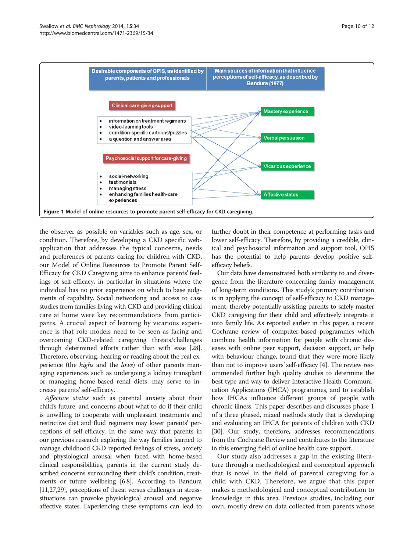<span id="page-9-0"></span>

the observer as possible on variables such as age, sex, or condition. Therefore, by developing a CKD specific webapplication that addresses the typical concerns, needs and preferences of parents caring for children with CKD, our Model of Online Resources to Promote Parent Self-Efficacy for CKD Caregiving aims to enhance parents' feelings of self-efficacy, in particular in situations where the individual has no prior experience on which to base judgments of capability. Social networking and access to case studies from families living with CKD and providing clinical care at home were key recommendations from participants. A crucial aspect of learning by vicarious experience is that role models need to be seen as facing and overcoming CKD-related caregiving threats/challenges through determined efforts rather than with ease [[28](#page-11-0)]. Therefore, observing, hearing or reading about the real experience (the highs and the lows) of other parents managing experiences such as undergoing a kidney transplant or managing home-based renal diets, may serve to increase parents' self-efficacy.

Affective states such as parental anxiety about their child's future, and concerns about what to do if their child is unwilling to cooperate with unpleasant treatments and restrictive diet and fluid regimens may lower parents' perceptions of self-efficacy. In the same way that parents in our previous research exploring the way families learned to manage childhood CKD reported feelings of stress, anxiety and physiological arousal when faced with home-based clinical responsibilities, parents in the current study described concerns surrounding their child's condition, treatments or future wellbeing [\[6,8\]](#page-11-0). According to Bandura [[11,27,29\]](#page-11-0), perceptions of threat versus challenges in stresssituations can provoke physiological arousal and negative affective states. Experiencing these symptoms can lead to

further doubt in their competence at performing tasks and lower self-efficacy. Therefore, by providing a credible, clinical and psychosocial information and support tool, OPIS has the potential to help parents develop positive selfefficacy beliefs.

Our data have demonstrated both similarity to and divergence from the literature concerning family management of long-term conditions. This study's primary contribution is in applying the concept of self-efficacy to CKD management, thereby potentially assisting parents to safely master CKD caregiving for their child and effectively integrate it into family life. As reported earlier in this paper, a recent Cochrane review of computer-based programmes which combine health information for people with chronic diseases with online peer support, decision support, or help with behaviour change, found that they were more likely than not to improve users' self-efficacy [\[4](#page-11-0)]. The review recommended further high quality studies to determine the best type and way to deliver Interactive Health Communication Applications (IHCA) programmes, and to establish how IHCAs influence different groups of people with chronic illness. This paper describes and discusses phase 1 of a three phased, mixed methods study that is developing and evaluating an IHCA for parents of children with CKD [[30](#page-11-0)]. Our study, therefore, addresses recommendations from the Cochrane Review and contributes to the literature in this emerging field of online health care support.

Our study also addresses a gap in the existing literature through a methodological and conceptual approach that is novel in the field of parental caregiving for a child with CKD. Therefore, we argue that this paper makes a methodological and conceptual contribution to knowledge in this area. Previous studies, including our own, mostly drew on data collected from parents whose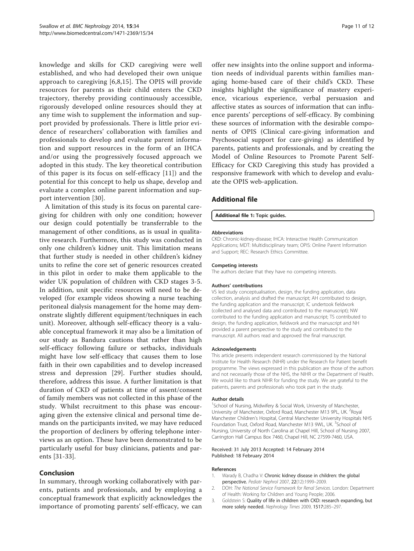<span id="page-10-0"></span>knowledge and skills for CKD caregiving were well established, and who had developed their own unique approach to caregiving [[6,8](#page-11-0),[15\]](#page-11-0). The OPIS will provide resources for parents as their child enters the CKD trajectory, thereby providing continuously accessible, rigorously developed online resources should they at any time wish to supplement the information and support provided by professionals. There is little prior evidence of researchers' collaboration with families and professionals to develop and evaluate parent information and support resources in the form of an IHCA and/or using the progressively focused approach we adopted in this study. The key theoretical contribution of this paper is its focus on self-efficacy [\[11\]](#page-11-0)) and the potential for this concept to help us shape, develop and evaluate a complex online parent information and support intervention [[30\]](#page-11-0).

A limitation of this study is its focus on parental caregiving for children with only one condition; however our design could potentially be transferrable to the management of other conditions, as is usual in qualitative research. Furthermore, this study was conducted in only one children's kidney unit. This limitation means that further study is needed in other children's kidney units to refine the core set of generic resources created in this pilot in order to make them applicable to the wider UK population of children with CKD stages 3-5. In addition, unit specific resources will need to be developed (for example videos showing a nurse teaching peritoneal dialysis management for the home may demonstrate slightly different equipment/techniques in each unit). Moreover, although self-efficacy theory is a valuable conceptual framework it may also be a limitation of our study as Bandura cautions that rather than high self-efficacy following failure or setbacks, individuals might have low self-efficacy that causes them to lose faith in their own capabilities and to develop increased stress and depression [[29\]](#page-11-0). Further studies should, therefore, address this issue. A further limitation is that duration of CKD of patients at time of assent/consent of family members was not collected in this phase of the study. Whilst recruitment to this phase was encouraging given the extensive clinical and personal time demands on the participants invited, we may have reduced the proportion of decliners by offering telephone interviews as an option. These have been demonstrated to be particularly useful for busy clinicians, patients and parents [[31-33\]](#page-11-0).

## Conclusion

In summary, through working collaboratively with parents, patients and professionals, and by employing a conceptual framework that explicitly acknowledges the importance of promoting parents' self-efficacy, we can offer new insights into the online support and information needs of individual parents within families managing home-based care of their child's CKD. These insights highlight the significance of mastery experience, vicarious experience, verbal persuasion and affective states as sources of information that can influence parents' perceptions of self-efficacy. By combining these sources of information with the desirable components of OPIS (Clinical care-giving information and Psychosocial support for care-giving) as identified by parents, patients and professionals, and by creating the Model of Online Resources to Promote Parent Self-Efficacy for CKD Caregiving this study has provided a responsive framework with which to develop and evaluate the OPIS web-application.

# Additional file

### [Additional file 1:](http://www.biomedcentral.com/content/supplementary/1471-2369-15-34-S1.doc) Topic guides.

### Abbreviations

CKD: Chronic-kidney-disease; IHCA: Interactive Health Communication Applications; MDT: Multidisciplinary team; OPIS: Online Parent Information and Support; REC: Research Ethics Committee.

### Competing interests

The authors declare that they have no competing interests.

### Authors' contributions

VS led study conceptualisation, design, the funding application, data collection, analysis and drafted the manuscript; AH contributed to design, the funding application and the manuscript; IC undertook fieldwork (collected and analysed data and contributed to the manuscript); NW contributed to the funding application and manuscript; TS contributed to design, the funding application, fieldwork and the manuscript and NH provided a parent perspective to the study and contributed to the manuscript. All authors read and approved the final manuscript.

### Acknowledgements

This article presents independent research commissioned by the National Institute for Health Research (NIHR) under the Research for Patient benefit programme. The views expressed in this publication are those of the authors and not necessarily those of the NHS, the NIHR or the Department of Health. We would like to thank NIHR for funding the study. We are grateful to the patients, parents and professionals who took part in the study.

### Author details

<sup>1</sup>School of Nursing, Midwifery & Social Work, University of Manchester, University of Manchester, Oxford Road, Manchester M13 9PL, UK. <sup>2</sup>Royal Manchester Children's Hospital, Central Manchester University Hospitals NHS Foundation Trust, Oxford Road, Manchester M13 9WL, UK. <sup>3</sup>School of Nursing, University of North Carolina at Chapel Hill, School of Nursing 2007, Carrington Hall Campus Box 7460, Chapel Hill, NC 27599-7460, USA.

### Received: 31 July 2013 Accepted: 14 February 2014 Published: 18 February 2014

### References

- 1. Warady B, Chadha V: Chronic kidney disease in children: the global perspective. Pediatr Nephrol 2007, 22(12):1999–2009.
- 2. DOH: The National Service Framework for Renal Services. London: Department of Health: Working for Children and Young People; 2006.
- 3. Goldstein S: Quality of life in children with CKD: research expanding, but more solely needed. Nephrology Times 2009, 1517:285–297.